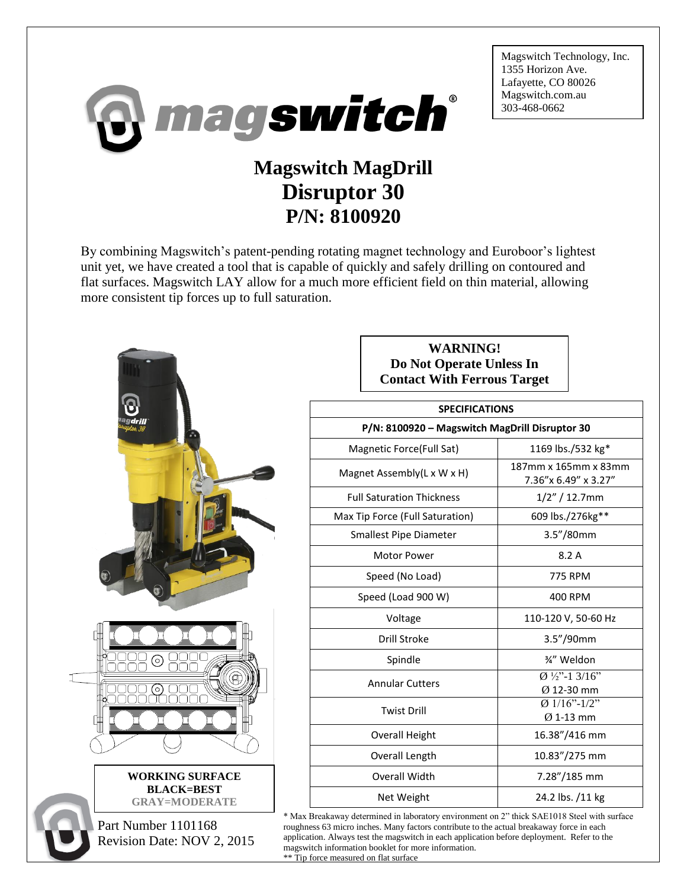

By combining Magswitch's patent-pending rotating magnet technology and Euroboor's lightest unit yet, we have created a tool that is capable of quickly and safely drilling on contoured and flat surfaces. Magswitch LAY allow for a much more efficient field on thin material, allowing more consistent tip forces up to full saturation.



**WARNING! Do Not Operate Unless In Contact With Ferrous Target**

Magswitch Technology, Inc.

1355 Horizon Ave. Lafayette, CO 80026 Magswitch.com.au 303-468-0662

| <b>SPECIFICATIONS</b>                          |                                                     |
|------------------------------------------------|-----------------------------------------------------|
| P/N: 8100920 - Magswitch MagDrill Disruptor 30 |                                                     |
| Magnetic Force (Full Sat)                      | 1169 lbs./532 kg*                                   |
| Magnet Assembly(L x W x H)                     | 187mm x 165mm x 83mm<br>7.36"x 6.49" x 3.27"        |
| <b>Full Saturation Thickness</b>               | $1/2''/12.7$ mm                                     |
| Max Tip Force (Full Saturation)                | 609 lbs./276kg**                                    |
| Smallest Pipe Diameter                         | 3.5"/80mm                                           |
| <b>Motor Power</b>                             | 8.2A                                                |
| Speed (No Load)                                | <b>775 RPM</b>                                      |
| Speed (Load 900 W)                             | 400 RPM                                             |
| Voltage                                        | 110-120 V, 50-60 Hz                                 |
| Drill Stroke                                   | 3.5"/90mm                                           |
| Spindle                                        | 3⁄4" Weldon                                         |
| <b>Annular Cutters</b>                         | $\overline{0}$ 1/2"-1 3/16"<br>$\emptyset$ 12-30 mm |
| <b>Twist Drill</b>                             | $Ø$ 1/16"-1/2"<br>$Ø$ 1-13 mm                       |
| <b>Overall Height</b>                          | 16.38"/416 mm                                       |
| Overall Length                                 | 10.83"/275 mm                                       |
| Overall Width                                  | 7.28"/185 mm                                        |
| Net Weight                                     | 24.2 lbs. /11 kg                                    |

\* Max Breakaway determined in laboratory environment on 2" thick SAE1018 Steel with surface roughness 63 micro inches. Many factors contribute to the actual breakaway force in each application. Always test the magswitch in each application before deployment. Refer to the magswitch information booklet for more information.

\*\* Tip force measured on flat surface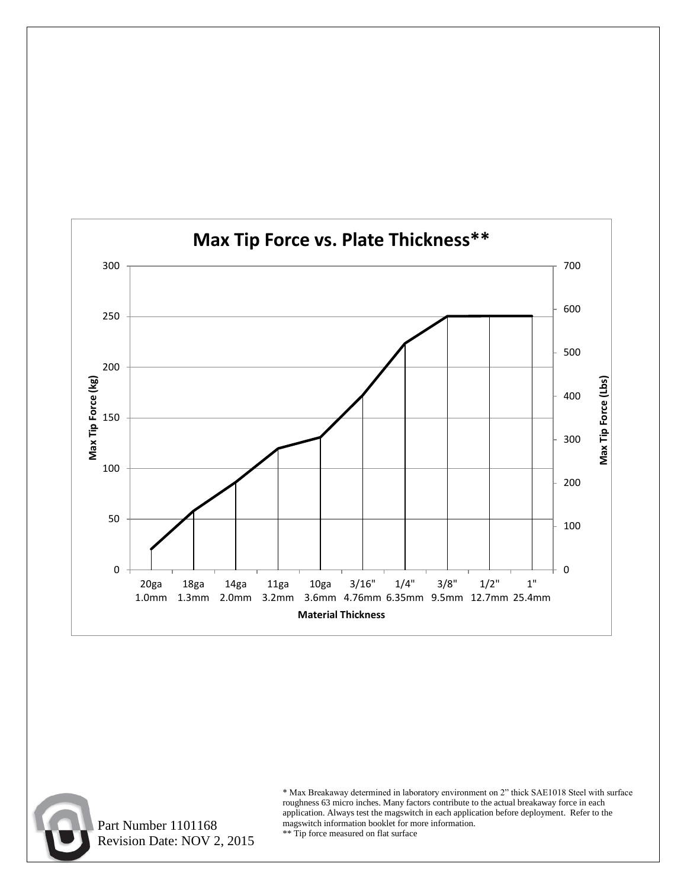



 Part Number 1101168 Revision Date: NOV 2, 2015

\* Max Breakaway determined in laboratory environment on 2" thick SAE1018 Steel with surface roughness 63 micro inches. Many factors contribute to the actual breakaway force in each application. Always test the magswitch in each application before deployment. Refer to the magswitch information booklet for more information.

\*\* Tip force measured on flat surface